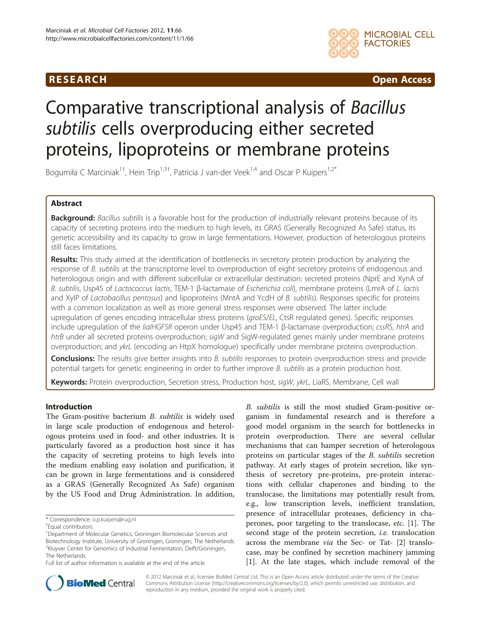## **RESEARCH RESEARCH** *CHECKER CHECKER CHECKER CHECKER CHECKER CHECKER CHECKER CHECKER CHECKER CHECKER CHECKER*



# Comparative transcriptional analysis of Bacillus subtilis cells overproducing either secreted proteins, lipoproteins or membrane proteins

Bogumiła C Marciniak<sup>1†</sup>, Hein Trip<sup>1,3†</sup>, Patricia J van-der Veek<sup>1,4</sup> and Oscar P Kuipers<sup>1,2\*</sup>

## Abstract

Background: Bacillus subtilis is a favorable host for the production of industrially relevant proteins because of its capacity of secreting proteins into the medium to high levels, its GRAS (Generally Recognized As Safe) status, its genetic accessibility and its capacity to grow in large fermentations. However, production of heterologous proteins still faces limitations.

Results: This study aimed at the identification of bottlenecks in secretory protein production by analyzing the response of B. subtilis at the transcriptome level to overproduction of eight secretory proteins of endogenous and heterologous origin and with different subcellular or extracellular destination: secreted proteins (NprE and XynA of B. subtilis, Usp45 of Lactococcus lactis, TEM-1 β-lactamase of Escherichia coli), membrane proteins (LmrA of L. lactis and XyIP of Lactobacillus pentosus) and lipoproteins (MntA and YcdH of B. subtilis). Responses specific for proteins with a common localization as well as more general stress responses were observed. The latter include upregulation of genes encoding intracellular stress proteins (groES/EL, CtsR regulated genes). Specific responses include upregulation of the liaIHGFSR operon under Usp45 and TEM-1 β-lactamase overproduction; cssRS, htrA and htrB under all secreted proteins overproduction; sigW and SigW-regulated genes mainly under membrane proteins overproduction; and ykrL (encoding an HtpX homologue) specifically under membrane proteins overproduction.

Conclusions: The results give better insights into B. subtilis responses to protein overproduction stress and provide potential targets for genetic engineering in order to further improve B. subtilis as a protein production host.

Keywords: Protein overproduction, Secretion stress, Production host, sigW, ykrL, LiaRS, Membrane, Cell wall

## Introduction

The Gram-positive bacterium B. subtilis is widely used in large scale production of endogenous and heterologous proteins used in food- and other industries. It is particularly favored as a production host since it has the capacity of secreting proteins to high levels into the medium enabling easy isolation and purification, it can be grown in large fermentations and is considered as a GRAS (Generally Recognized As Safe) organism by the US Food and Drug Administration. In addition,

B. subtilis is still the most studied Gram-positive organism in fundamental research and is therefore a good model organism in the search for bottlenecks in protein overproduction. There are several cellular mechanisms that can hamper secretion of heterologous proteins on particular stages of the B. subtilis secretion pathway. At early stages of protein secretion, like synthesis of secretory pre-proteins, pre-protein interactions with cellular chaperones and binding to the translocase, the limitations may potentially result from, e.g., low transcription levels, inefficient translation, presence of intracellular proteases, deficiency in cha-perones, poor targeting to the translocase, etc. [\[1](#page-10-0)]. The second stage of the protein secretion, i.e. translocation across the membrane via the Sec- or Tat- [\[2](#page-10-0)] translocase, may be confined by secretion machinery jamming [[1\]](#page-10-0). At the late stages, which include removal of the



© 2012 Marciniak et al.; licensee BioMed Central Ltd. This is an Open Access article distributed under the terms of the Creative Commons Attribution License [\(http://creativecommons.org/licenses/by/2.0\)](http://creativecommons.org/licenses/by/2.0), which permits unrestricted use, distribution, and reproduction in any medium, provided the original work is properly cited.

<sup>\*</sup> Correspondence: [o.p.kuipers@rug.nl](mailto:o.p.kuipers@rug.nl) †

Equal contributors

<sup>&</sup>lt;sup>1</sup>Department of Molecular Genetics, Groningen Biomolecular Sciences and Biotechnology Institute, University of Groningen, Groningen, The Netherlands 2 Kluyver Center for Genomics of Industrial Fermentation, Delft/Groningen, The Netherlands

Full list of author information is available at the end of the article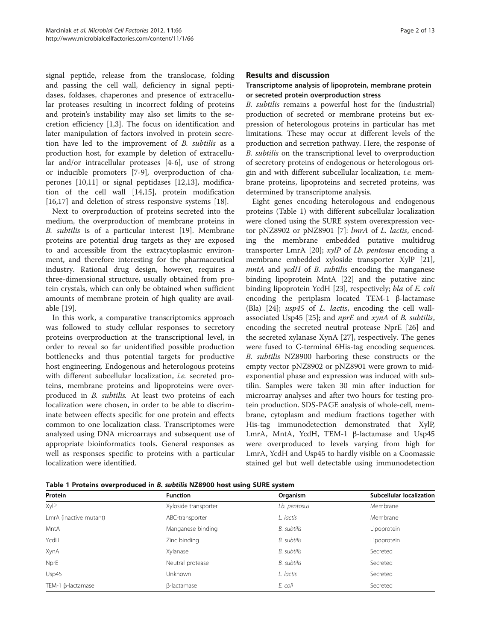<span id="page-1-0"></span>signal peptide, release from the translocase, folding and passing the cell wall, deficiency in signal peptidases, foldases, chaperones and presence of extracellular proteases resulting in incorrect folding of proteins and protein's instability may also set limits to the secretion efficiency [\[1,3](#page-10-0)]. The focus on identification and later manipulation of factors involved in protein secretion have led to the improvement of B. subtilis as a production host, for example by deletion of extracellular and/or intracellular proteases [[4-6\]](#page-10-0), use of strong or inducible promoters [[7-9](#page-10-0)], overproduction of chaperones [[10,11\]](#page-10-0) or signal peptidases [[12](#page-10-0),[13](#page-11-0)], modification of the cell wall [[14](#page-11-0),[15](#page-11-0)], protein modification [[16,17\]](#page-11-0) and deletion of stress responsive systems [\[18\]](#page-11-0).

Next to overproduction of proteins secreted into the medium, the overproduction of membrane proteins in B. subtilis is of a particular interest [\[19\]](#page-11-0). Membrane proteins are potential drug targets as they are exposed to and accessible from the extracytoplasmic environment, and therefore interesting for the pharmaceutical industry. Rational drug design, however, requires a three-dimensional structure, usually obtained from protein crystals, which can only be obtained when sufficient amounts of membrane protein of high quality are available [[19](#page-11-0)].

In this work, a comparative transcriptomics approach was followed to study cellular responses to secretory proteins overproduction at the transcriptional level, in order to reveal so far unidentified possible production bottlenecks and thus potential targets for productive host engineering. Endogenous and heterologous proteins with different subcellular localization, i.e. secreted proteins, membrane proteins and lipoproteins were overproduced in B. subtilis. At least two proteins of each localization were chosen, in order to be able to discriminate between effects specific for one protein and effects common to one localization class. Transcriptomes were analyzed using DNA microarrays and subsequent use of appropriate bioinformatics tools. General responses as well as responses specific to proteins with a particular localization were identified.

#### Results and discussion

## Transcriptome analysis of lipoprotein, membrane protein or secreted protein overproduction stress

B. subtilis remains a powerful host for the (industrial) production of secreted or membrane proteins but expression of heterologous proteins in particular has met limitations. These may occur at different levels of the production and secretion pathway. Here, the response of B. subtilis on the transcriptional level to overproduction of secretory proteins of endogenous or heterologous origin and with different subcellular localization, i.e. membrane proteins, lipoproteins and secreted proteins, was determined by transcriptome analysis.

Eight genes encoding heterologous and endogenous proteins (Table 1) with different subcellular localization were cloned using the SURE system overexpression vector pNZ8902 or pNZ8901 [[7\]](#page-10-0): lmrA of L. lactis, encoding the membrane embedded putative multidrug transporter LmrA [[20\]](#page-11-0); xylP of Lb. pentosus encoding a membrane embedded xyloside transporter XylP [\[21](#page-11-0)], mntA and ycdH of B. subtilis encoding the manganese binding lipoprotein MntA [[22](#page-11-0)] and the putative zinc binding lipoprotein YcdH [[23](#page-11-0)], respectively; bla of E. coli encoding the periplasm located TEM-1 β-lactamase (Bla) [[24](#page-11-0)]; usp45 of L. lactis, encoding the cell wallassociated Usp45 [[25\]](#page-11-0); and nprE and xynA of B. subtilis, encoding the secreted neutral protease NprE [[26\]](#page-11-0) and the secreted xylanase XynA [\[27](#page-11-0)], respectively. The genes were fused to C-terminal 6His-tag encoding sequences. B. subtilis NZ8900 harboring these constructs or the empty vector pNZ8902 or pNZ8901 were grown to midexponential phase and expression was induced with subtilin. Samples were taken 30 min after induction for microarray analyses and after two hours for testing protein production. SDS-PAGE analysis of whole-cell, membrane, cytoplasm and medium fractions together with His-tag immunodetection demonstrated that XylP, LmrA, MntA, YcdH, TEM-1 β-lactamase and Usp45 were overproduced to levels varying from high for LmrA, YcdH and Usp45 to hardly visible on a Coomassie stained gel but well detectable using immunodetection

Table 1 Proteins overproduced in B. subtilis NZ8900 host using SURE system

| Protein                | <b>Function</b>      | Organism     | <b>Subcellular localization</b> |
|------------------------|----------------------|--------------|---------------------------------|
| XylP                   | Xyloside transporter | Lb. pentosus | Membrane                        |
| LmrA (inactive mutant) | ABC-transporter      | L. lactis    | Membrane                        |
| MntA                   | Manganese binding    | B. subtilis  | Lipoprotein                     |
| YcdH                   | Zinc binding         | B. subtilis  | Lipoprotein                     |
| XynA                   | Xylanase             | B. subtilis  | Secreted                        |
| <b>NprE</b>            | Neutral protease     | B. subtilis  | Secreted                        |
| Usp45                  | Unknown              | L. lactis    | Secreted                        |
| TEM-1 β-lactamase      | β-lactamase          | E. coli      | Secreted                        |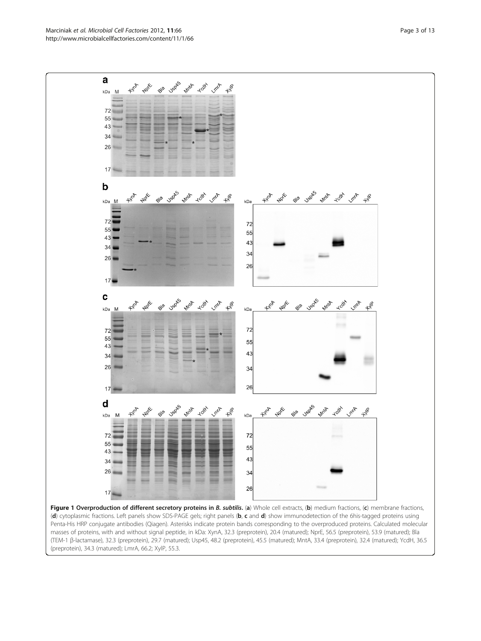<span id="page-2-0"></span>

Penta-His HRP conjugate antibodies (Qiagen). Asterisks indicate protein bands corresponding to the overproduced proteins. Calculated molecular masses of proteins, with and without signal peptide, in kDa: XynA, 32.3 (preprotein), 20.4 (matured); NprE, 56.5 (preprotein), 53.9 (matured); Bla (TEM-1 β-lactamase), 32.3 (preprotein), 29.7 (matured); Usp45, 48.2 (preprotein), 45.5 (matured); MntA, 33.4 (preprotein), 32.4 (matured); YcdH, 36.5 (preprotein), 34.3 (matured); LmrA, 66.2; XylP, 55.3.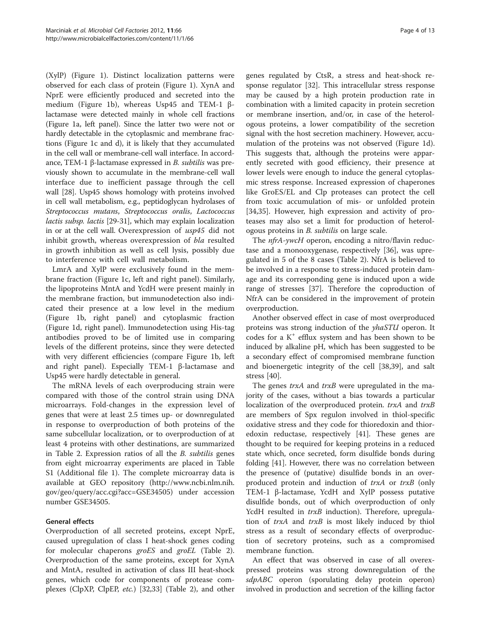(XylP) (Figure [1\)](#page-2-0). Distinct localization patterns were observed for each class of protein (Figure [1](#page-2-0)). XynA and NprE were efficiently produced and secreted into the medium (Figure [1](#page-2-0)b), whereas Usp45 and TEM-1 βlactamase were detected mainly in whole cell fractions (Figure [1a,](#page-2-0) left panel). Since the latter two were not or hardly detectable in the cytoplasmic and membrane fractions (Figure [1c and d](#page-2-0)), it is likely that they accumulated in the cell wall or membrane-cell wall interface. In accordance, TEM-1 β-lactamase expressed in B. subtilis was previously shown to accumulate in the membrane-cell wall interface due to inefficient passage through the cell wall [[28](#page-11-0)]. Usp45 shows homology with proteins involved in cell wall metabolism, e.g., peptidoglycan hydrolases of Streptococcus mutans, Streptococcus oralis, Lactococcus lactis subsp. lactis [\[29-31\]](#page-11-0), which may explain localization in or at the cell wall. Overexpression of usp45 did not inhibit growth, whereas overexpression of bla resulted in growth inhibition as well as cell lysis, possibly due to interference with cell wall metabolism.

LmrA and XylP were exclusively found in the membrane fraction (Figure [1c](#page-2-0), left and right panel). Similarly, the lipoproteins MntA and YcdH were present mainly in the membrane fraction, but immunodetection also indicated their presence at a low level in the medium (Figure [1b,](#page-2-0) right panel) and cytoplasmic fraction (Figure [1d](#page-2-0), right panel). Immunodetection using His-tag antibodies proved to be of limited use in comparing levels of the different proteins, since they were detected with very different efficiencies (compare Figure [1b](#page-2-0), left and right panel). Especially TEM-1 β-lactamase and Usp45 were hardly detectable in general.

The mRNA levels of each overproducing strain were compared with those of the control strain using DNA microarrays. Fold-changes in the expression level of genes that were at least 2.5 times up- or downregulated in response to overproduction of both proteins of the same subcellular localization, or to overproduction of at least 4 proteins with other destinations, are summarized in Table [2.](#page-4-0) Expression ratios of all the B. subtilis genes from eight microarray experiments are placed in Table S1 (Additional file [1\)](#page-10-0). The complete microarray data is available at GEO repository [\(http://www.ncbi.nlm.nih.](http://www.ncbi.nlm.nih.gov/geo/query/acc.cgi?acc=GSE34505) [gov/geo/query/acc.cgi?acc=GSE34505](http://www.ncbi.nlm.nih.gov/geo/query/acc.cgi?acc=GSE34505)) under accession number GSE34505.

## General effects

Overproduction of all secreted proteins, except NprE, caused upregulation of class I heat-shock genes coding for molecular chaperons *groES* and *groEL* (Table [2](#page-4-0)). Overproduction of the same proteins, except for XynA and MntA, resulted in activation of class III heat-shock genes, which code for components of protease complexes (ClpXP, ClpEP, etc.) [\[32,33\]](#page-11-0) (Table [2\)](#page-4-0), and other

genes regulated by CtsR, a stress and heat-shock response regulator [\[32\]](#page-11-0). This intracellular stress response may be caused by a high protein production rate in combination with a limited capacity in protein secretion or membrane insertion, and/or, in case of the heterologous proteins, a lower compatibility of the secretion signal with the host secretion machinery. However, accumulation of the proteins was not observed (Figure [1d](#page-2-0)). This suggests that, although the proteins were apparently secreted with good efficiency, their presence at lower levels were enough to induce the general cytoplasmic stress response. Increased expression of chaperones like GroES/EL and Clp proteases can protect the cell from toxic accumulation of mis- or unfolded protein [[34,35\]](#page-11-0). However, high expression and activity of proteases may also set a limit for production of heterologous proteins in B. subtilis on large scale.

The *nfrA-ywcH* operon, encoding a nitro/flavin reductase and a monooxygenase, respectively [\[36\]](#page-11-0), was upregulated in 5 of the 8 cases (Table [2](#page-4-0)). NfrA is believed to be involved in a response to stress-induced protein damage and its corresponding gene is induced upon a wide range of stresses [[37](#page-11-0)]. Therefore the coproduction of NfrA can be considered in the improvement of protein overproduction.

Another observed effect in case of most overproduced proteins was strong induction of the yhaSTU operon. It codes for a  $K^+$  efflux system and has been shown to be induced by alkaline pH, which has been suggested to be a secondary effect of compromised membrane function and bioenergetic integrity of the cell [\[38,39](#page-11-0)], and salt stress [\[40](#page-11-0)].

The genes trxA and trxB were upregulated in the majority of the cases, without a bias towards a particular localization of the overproduced protein. trxA and trxB are members of Spx regulon involved in thiol-specific oxidative stress and they code for thioredoxin and thioredoxin reductase, respectively [[41\]](#page-11-0). These genes are thought to be required for keeping proteins in a reduced state which, once secreted, form disulfide bonds during folding [[41\]](#page-11-0). However, there was no correlation between the presence of (putative) disulfide bonds in an overproduced protein and induction of trxA or trxB (only TEM-1 β-lactamase, YcdH and XylP possess putative disulfide bonds, out of which overproduction of only YcdH resulted in *trxB* induction). Therefore, upregulation of trxA and trxB is most likely induced by thiol stress as a result of secondary effects of overproduction of secretory proteins, such as a compromised membrane function.

An effect that was observed in case of all overexpressed proteins was strong downregulation of the sdpABC operon (sporulating delay protein operon) involved in production and secretion of the killing factor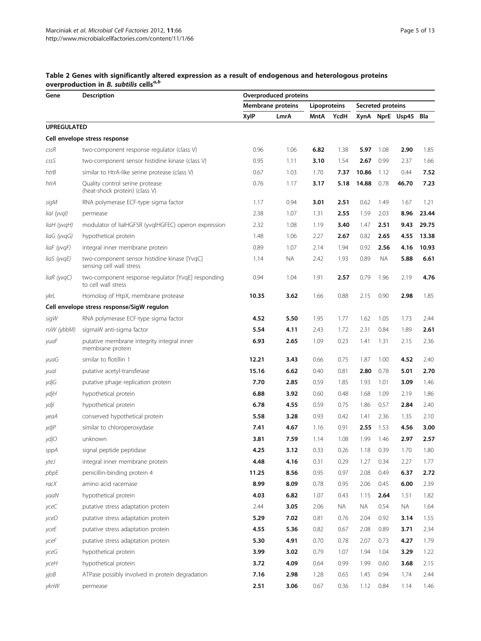<span id="page-4-0"></span>

| Table 2 Genes with significantly altered expression as a result of endogenous and heterologous proteins |  |  |  |
|---------------------------------------------------------------------------------------------------------|--|--|--|
| overproduction in B. subtilis cells <sup>a,b</sup>                                                      |  |  |  |

| Gene               | <b>Description</b>                                                        | Overproduced proteins                    |      |      |                   |       |           |                     |       |
|--------------------|---------------------------------------------------------------------------|------------------------------------------|------|------|-------------------|-------|-----------|---------------------|-------|
|                    |                                                                           | <b>Membrane proteins</b><br>Lipoproteins |      |      | Secreted proteins |       |           |                     |       |
|                    |                                                                           | <b>XylP</b>                              | LmrA | MntA | YcdH              |       |           | XynA NprE Usp45 Bla |       |
| <b>UPREGULATED</b> |                                                                           |                                          |      |      |                   |       |           |                     |       |
|                    | Cell envelope stress response                                             |                                          |      |      |                   |       |           |                     |       |
| cssR               | two-component response regulator (class V)                                | 0.96                                     | 1.06 | 6.82 | 1.38              | 5.97  | 1.08      | 2.90                | 1.85  |
| cssS               | two-component sensor histidine kinase (class V)                           | 0.95                                     | 1.11 | 3.10 | 1.54              | 2.67  | 0.99      | 2.37                | 1.66  |
| htrB               | similar to HtrA-like serine protease (class V)                            | 0.67                                     | 1.03 | 1.70 | 7.37              | 10.86 | 1.12      | 0.44                | 7.52  |
| htrA               | Quality control serine protease<br>(heat-shock protein) (class V)         | 0.76                                     | 1.17 | 3.17 | 5.18              | 14.88 | 0.78      | 46.70               | 7.23  |
| sigM               | RNA polymerase ECF-type sigma factor                                      | 1.17                                     | 0.94 | 3.01 | 2.51              | 0.62  | 1.49      | 1.67                | 1.21  |
| lial (yvgl)        | permease                                                                  | 2.38                                     | 1.07 | 1.31 | 2.55              | 1.59  | 2.03      | 8.96                | 23.44 |
| liaH (yvqH)        | modulator of lialHGFSR (yvglHGFEC) operon expression                      | 2.32                                     | 1.08 | 1.19 | 3.40              | 1.47  | 2.51      | 9.43                | 29.75 |
| liaG (yvgG)        | hypothetical protein                                                      | 1.48                                     | 1.06 | 2.27 | 2.67              | 0.82  | 2.65      | 4.55                | 13.38 |
| liaF (yvqF)        | integral inner membrane protein                                           | 0.89                                     | 1.07 | 2.14 | 1.94              | 0.92  | 2.56      | 4.16                | 10.93 |
| liaS (yvgE)        | two-component sensor histidine kinase [YvqC]<br>sensing cell wall stress  | 1.14                                     | ΝA   | 2.42 | 1.93              | 0.89  | <b>NA</b> | 5.88                | 6.61  |
| liaR (yvqC)        | two-component response regulator [YvqE] responding<br>to cell wall stress | 0.94                                     | 1.04 | 1.91 | 2.57              | 0.79  | 1.96      | 2.19                | 4.76  |
| ykrL               | Homolog of HtpX, membrane protease                                        | 10.35                                    | 3.62 | 1.66 | 0.88              | 2.15  | 0.90      | 2.98                | 1.85  |
|                    | Cell envelope stress response/SigW regulon                                |                                          |      |      |                   |       |           |                     |       |
| sigW               | RNA polymerase ECF-type sigma factor                                      | 4.52                                     | 5.50 | 1.95 | 1.77              | 1.62  | 1.05      | 1.73                | 2.44  |
| rsiW (ybbM)        | sigmaW anti-sigma factor                                                  | 5.54                                     | 4.11 | 2.43 | 1.72              | 2.31  | 0.84      | 1.89                | 2.61  |
| yuaF               | putative membrane integrity integral inner<br>membrane protein            | 6.93                                     | 2.65 | 1.09 | 0.23              | 1.41  | 1.31      | 2.15                | 2.36  |
| yuaG               | similar to flotillin 1                                                    | 12.21                                    | 3.43 | 0.66 | 0.75              | 1.87  | 1.00      | 4.52                | 2.40  |
| yual               | putative acetyl-transferase                                               | 15.16                                    | 6.62 | 0.40 | 0.81              | 2.80  | 0.78      | 5.01                | 2.70  |
| ydjG               | putative phage replication protein                                        | 7.70                                     | 2.85 | 0.59 | 1.85              | 1.93  | 1.01      | 3.09                | 1.46  |
| ydjH               | hypothetical protein                                                      | 6.88                                     | 3.92 | 0.60 | 0.48              | 1.68  | 1.09      | 2.19                | 1.86  |
| ydjl               | hypothetical protein                                                      | 6.78                                     | 4.55 | 0.59 | 0.75              | 1.86  | 0.57      | 2.84                | 2.40  |
| yeaA               | conserved hypothetical protein                                            | 5.58                                     | 3.28 | 0.93 | 0.42              | 1.41  | 2.36      | 1.35                | 2.10  |
| ydjP               | similar to chloroperoxydase                                               | 7.41                                     | 4.67 | 1.16 | 0.91              | 2.55  | 1.53      | 4.56                | 3.00  |
| ydjO               | unknown                                                                   | 3.81                                     | 7.59 | 1.14 | 1.08              | 1.99  | 1.46      | 2.97                | 2.57  |
| sppA               | signal peptide peptidase                                                  | 4.25                                     | 3.12 | 0.33 | 0.26              | 1.18  | 0.39      | 1.70                | 1.80  |
| yteJ               | integral inner membrane protein                                           | 4.48                                     | 4.16 | 0.31 | 0.29              | 1.27  | 0.34      | 2.27                | 1.77  |
| pbpE               | penicillin-binding protein 4                                              | 11.25                                    | 8.56 | 0.95 | 0.97              | 2.08  | 0.49      | 6.37                | 2.72  |
| racX               | amino acid racemase                                                       | 8.99                                     | 8.09 | 0.78 | 0.95              | 2.06  | 0.45      | 6.00                | 2.39  |
| yaaN               | hypothetical protein                                                      | 4.03                                     | 6.82 | 1.07 | 0.43              | 1.15  | 2.64      | 1.51                | 1.82  |
| yceC               | putative stress adaptation protein                                        | 2.44                                     | 3.05 | 2.06 | NA.               | ΝA    | 0.54      | NA.                 | 1.64  |
| yceD               | putative stress adaptation protein                                        | 5.29                                     | 7.02 | 0.81 | 0.76              | 2.04  | 0.92      | 3.14                | 1.55  |
| yceE               | putative stress adaptation protein                                        | 4.55                                     | 5.36 | 0.82 | 0.67              | 2.08  | 0.89      | 3.71                | 2.34  |
| yceF               | putative stress adaptation protein                                        | 5.30                                     | 4.91 | 0.70 | 0.78              | 2.07  | 0.73      | 4.27                | 1.79  |
| yceG               | hypothetical protein                                                      | 3.99                                     | 3.02 | 0.79 | 1.07              | 1.94  | 1.04      | 3.29                | 1.22  |
| yceH               | hypothetical protein                                                      | 3.72                                     | 4.09 | 0.64 | 0.99              | 1.99  | 0.60      | 3.68                | 2.15  |
| ујоВ               | ATPase possibly involved in protein degradation                           | 7.16                                     | 2.98 | 1.28 | 0.65              | 1.45  | 0.94      | 1.74                | 2.44  |
| yknW               | permease                                                                  | 2.51                                     | 3.06 | 0.67 | 0.36              | 1.12  | 0.84      | 1.14                | 1.46  |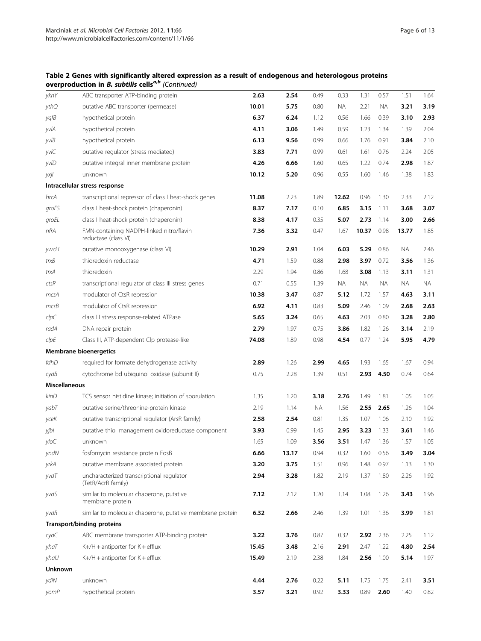| Table 2 Genes with significantly altered expression as a result of endogenous and heterologous proteins |
|---------------------------------------------------------------------------------------------------------|
| <b>overproduction in B. subtilis cells<sup>a,b</sup></b> (Continued)                                    |

|                      | overproduction in <i>D. subtins</i> cens                         |       |       |      |       |       |           |       |      |
|----------------------|------------------------------------------------------------------|-------|-------|------|-------|-------|-----------|-------|------|
| yknY                 | ABC transporter ATP-binding protein                              | 2.63  | 2.54  | 0.49 | 0.33  | 1.31  | 0.57      | 1.51  | 1.64 |
| ythQ                 | putative ABC transporter (permease)                              | 10.01 | 5.75  | 0.80 | ΝA    | 2.21  | <b>NA</b> | 3.21  | 3.19 |
| yqfB                 | hypothetical protein                                             | 6.37  | 6.24  | 1.12 | 0.56  | 1.66  | 0.39      | 3.10  | 2.93 |
| yvlA                 | hypothetical protein                                             | 4.11  | 3.06  | 1.49 | 0.59  | 1.23  | 1.34      | 1.39  | 2.04 |
| yvIB                 | hypothetical protein                                             | 6.13  | 9.56  | 0.99 | 0.66  | 1.76  | 0.91      | 3.84  | 2.10 |
| yvIC                 | putative regulator (stress mediated)                             | 3.83  | 7.71  | 0.99 | 0.61  | 1.61  | 0.76      | 2.24  | 2.05 |
| yvID                 | putative integral inner membrane protein                         | 4.26  | 6.66  | 1.60 | 0.65  | 1.22  | 0.74      | 2.98  | 1.87 |
| yxjl                 | unknown                                                          | 10.12 | 5.20  | 0.96 | 0.55  | 1.60  | 1.46      | 1.38  | 1.83 |
|                      | Intracellular stress response                                    |       |       |      |       |       |           |       |      |
| hrcA                 | transcriptional repressor of class I heat-shock genes            | 11.08 | 2.23  | 1.89 | 12.62 | 0.96  | 1.30      | 2.33  | 2.12 |
| groES                | class I heat-shock protein (chaperonin)                          | 8.37  | 7.17  | 0.10 | 6.85  | 3.15  | 1.11      | 3.68  | 3.07 |
| groEL                | class I heat-shock protein (chaperonin)                          | 8.38  | 4.17  | 0.35 | 5.07  | 2.73  | 1.14      | 3.00  | 2.66 |
| nfrA                 | FMN-containing NADPH-linked nitro/flavin<br>reductase (class VI) | 7.36  | 3.32  | 0.47 | 1.67  | 10.37 | 0.98      | 13.77 | 1.85 |
| ywcH                 | putative monooxygenase (class VI)                                | 10.29 | 2.91  | 1.04 | 6.03  | 5.29  | 0.86      | NA.   | 2.46 |
| trxB                 | thioredoxin reductase                                            | 4.71  | 1.59  | 0.88 | 2.98  | 3.97  | 0.72      | 3.56  | 1.36 |
| trxA                 | thioredoxin                                                      | 2.29  | 1.94  | 0.86 | 1.68  | 3.08  | 1.13      | 3.11  | 1.31 |
| ctsR                 | transcriptional regulator of class III stress genes              | 0.71  | 0.55  | 1.39 | NA.   | NA.   | NA.       | NA.   | NA.  |
| mcsA                 | modulator of CtsR repression                                     | 10.38 | 3.47  | 0.87 | 5.12  | 1.72  | 1.57      | 4.63  | 3.11 |
| mcsB                 | modulator of CtsR repression                                     | 6.92  | 4.11  | 0.83 | 5.09  | 2.46  | 1.09      | 2.68  | 2.63 |
| clpC                 | class III stress response-related ATPase                         | 5.65  | 3.24  | 0.65 | 4.63  | 2.03  | 0.80      | 3.28  | 2.80 |
| radA                 | DNA repair protein                                               | 2.79  | 1.97  | 0.75 | 3.86  | 1.82  | 1.26      | 3.14  | 2.19 |
| clpE                 | Class III, ATP-dependent Clp protease-like                       | 74.08 | 1.89  | 0.98 | 4.54  | 0.77  | 1.24      | 5.95  | 4.79 |
|                      | <b>Membrane bioenergetics</b>                                    |       |       |      |       |       |           |       |      |
| fdhD                 | required for formate dehydrogenase activity                      | 2.89  | 1.26  | 2.99 | 4.65  | 1.93  | 1.65      | 1.67  | 0.94 |
| cydB                 | cytochrome bd ubiquinol oxidase (subunit II)                     | 0.75  | 2.28  | 1.39 | 0.51  | 2.93  | 4.50      | 0.74  | 0.64 |
| <b>Miscellaneous</b> |                                                                  |       |       |      |       |       |           |       |      |
| kinD                 | TCS sensor histidine kinase; initiation of sporulation           | 1.35  | 1.20  | 3.18 | 2.76  | 1.49  | 1.81      | 1.05  | 1.05 |
| yabT                 | putative serine/threonine-protein kinase                         | 2.19  | 1.14  | ΝA   | 1.56  | 2.55  | 2.65      | 1.26  | 1.04 |
| yceK                 | putative transcriptional regulator (ArsR family)                 | 2.58  | 2.54  | 0.81 | 1.35  | 1.07  | 1.06      | 2.10  | 1.92 |
| yibl                 | putative thiol management oxidoreductase component               | 3.93  | 0.99  | 1.45 | 2.95  | 3.23  | 1.33      | 3.61  | 1.46 |
| yloC                 | unknown                                                          | 1.65  | 1.09  | 3.56 | 3.51  | 1.47  | 1.36      | 1.57  | 1.05 |
| yndN                 | fosfomycin resistance protein FosB                               | 6.66  | 13.17 | 0.94 | 0.32  | 1.60  | 0.56      | 3.49  | 3.04 |
| yrkA                 | putative membrane associated protein                             | 3.20  | 3.75  | 1.51 | 0.96  | 1.48  | 0.97      | 1.13  | 1.30 |
| yvdT                 | uncharacterized transcriptional regulator<br>(TetR/AcrR family)  | 2.94  | 3.28  | 1.82 | 2.19  | 1.37  | 1.80      | 2.26  | 1.92 |
| yvdS                 | similar to molecular chaperone, putative<br>membrane protein     | 7.12  | 2.12  | 1.20 | 1.14  | 1.08  | 1.26      | 3.43  | 1.96 |
| yvdR                 | similar to molecular chaperone, putative membrane protein        | 6.32  | 2.66  | 2.46 | 1.39  | 1.01  | 1.36      | 3.99  | 1.81 |
|                      | <b>Transport/binding proteins</b>                                |       |       |      |       |       |           |       |      |
| cydC                 | ABC membrane transporter ATP-binding protein                     | 3.22  | 3.76  | 0.87 | 0.32  | 2.92  | 2.36      | 2.25  | 1.12 |
| $y$ ha $T$           | $K+/H + antiportex for K + efflux$                               | 15.45 | 3.48  | 2.16 | 2.91  | 2.47  | 1.22      | 4.80  | 2.54 |
| yhaU                 | $K+/H + antiportex$ for $K + efflux$                             | 15.49 | 2.19  | 2.38 | 1.84  | 2.56  | 1.00      | 5.14  | 1.97 |
| Unknown              |                                                                  |       |       |      |       |       |           |       |      |
| ydiN                 | unknown                                                          | 4.44  | 2.76  | 0.22 | 5.11  | 1.75  | 1.75      | 2.41  | 3.51 |
| yomP                 | hypothetical protein                                             | 3.57  | 3.21  | 0.92 | 3.33  | 0.89  | 2.60      | 1.40  | 0.82 |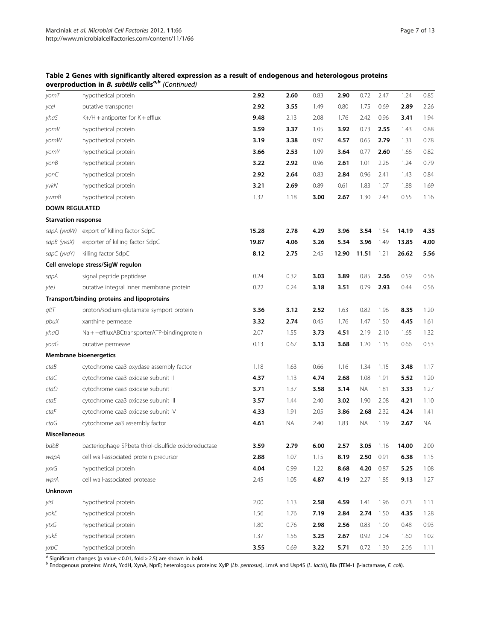#### Table 2 Genes with significantly altered expression as a result of endogenous and heterologous proteins overproduction in B. subtilis cells<sup>a,b</sup> (Continued)

| yomT                       | hypothetical protein                                | 2.92  | 2.60 | 0.83 | 2.90  | 0.72  | 2.47 | 1.24  | 0.85 |
|----------------------------|-----------------------------------------------------|-------|------|------|-------|-------|------|-------|------|
| ycel                       | putative transporter                                | 2.92  | 3.55 | 1.49 | 0.80  | 1.75  | 0.69 | 2.89  | 2.26 |
| yhaS                       | $K+/H + antiportex for K + efflux$                  | 9.48  | 2.13 | 2.08 | 1.76  | 2.42  | 0.96 | 3.41  | 1.94 |
| yomV                       | hypothetical protein                                | 3.59  | 3.37 | 1.05 | 3.92  | 0.73  | 2.55 | 1.43  | 0.88 |
| yomW                       | hypothetical protein                                | 3.19  | 3.38 | 0.97 | 4.57  | 0.65  | 2.79 | 1.31  | 0.78 |
| yomY                       | hypothetical protein                                | 3.66  | 2.53 | 1.09 | 3.64  | 0.77  | 2.60 | 1.66  | 0.82 |
| yonB                       | hypothetical protein                                | 3.22  | 2.92 | 0.96 | 2.61  | 1.01  | 2.26 | 1.24  | 0.79 |
| yonC                       | hypothetical protein                                | 2.92  | 2.64 | 0.83 | 2.84  | 0.96  | 2.41 | 1.43  | 0.84 |
| yvkN                       | hypothetical protein                                | 3.21  | 2.69 | 0.89 | 0.61  | 1.83  | 1.07 | 1.88  | 1.69 |
| ywmB                       | hypothetical protein                                | 1.32  | 1.18 | 3.00 | 2.67  | 1.30  | 2.43 | 0.55  | 1.16 |
| <b>DOWN REGULATED</b>      |                                                     |       |      |      |       |       |      |       |      |
| <b>Starvation response</b> |                                                     |       |      |      |       |       |      |       |      |
| sdpA (yvaW)                | export of killing factor SdpC                       | 15.28 | 2.78 | 4.29 | 3.96  | 3.54  | 1.54 | 14.19 | 4.35 |
| sdpB (yvaX)                | exporter of killing factor SdpC                     | 19.87 | 4.06 | 3.26 | 5.34  | 3.96  | 1.49 | 13.85 | 4.00 |
| sdpC (yvaY)                | killing factor SdpC                                 | 8.12  | 2.75 | 2.45 | 12.90 | 11.51 | 1.21 | 26.62 | 5.56 |
|                            | Cell envelope stress/SigW regulon                   |       |      |      |       |       |      |       |      |
| sppA                       | signal peptide peptidase                            | 0.24  | 0.32 | 3.03 | 3.89  | 0.85  | 2.56 | 0.59  | 0.56 |
| yteJ                       | putative integral inner membrane protein            | 0.22  | 0.24 | 3.18 | 3.51  | 0.79  | 2.93 | 0.44  | 0.56 |
|                            | Transport/binding proteins and lipoproteins         |       |      |      |       |       |      |       |      |
| gltT                       | proton/sodium-glutamate symport protein             | 3.36  | 3.12 | 2.52 | 1.63  | 0.82  | 1.96 | 8.35  | 1.20 |
| pbuX                       | xanthine permease                                   | 3.32  | 2.74 | 0.45 | 1.76  | 1.47  | 1.50 | 4.45  | 1.61 |
| yhaQ                       | Na + -effluxABCtransporterATP-bindingprotein        | 2.07  | 1.55 | 3.73 | 4.51  | 2.19  | 2.10 | 1.65  | 1.32 |
| yoaG                       | putative permease                                   | 0.13  | 0.67 | 3.13 | 3.68  | 1.20  | 1.15 | 0.66  | 0.53 |
|                            | <b>Membrane bioenergetics</b>                       |       |      |      |       |       |      |       |      |
| ctaB                       | cytochrome caa3 oxydase assembly factor             | 1.18  | 1.63 | 0.66 | 1.16  | 1.34  | 1.15 | 3.48  | 1.17 |
| ctaC                       | cytochrome caa3 oxidase subunit II                  | 4.37  | 1.13 | 4.74 | 2.68  | 1.08  | 1.91 | 5.52  | 1.20 |
| ctaD                       | cytochrome caa3 oxidase subunit I                   | 3.71  | 1.37 | 3.58 | 3.14  | ΝA    | 1.81 | 3.33  | 1.27 |
| ctaE                       | cytochrome caa3 oxidase subunit III                 | 3.57  | 1.44 | 2.40 | 3.02  | 1.90  | 2.08 | 4.21  | 1.10 |
| ctaF                       | cytochrome caa3 oxidase subunit IV                  | 4.33  | 1.91 | 2.05 | 3.86  | 2.68  | 2.32 | 4.24  | 1.41 |
| ctaG                       | cytochrome aa3 assembly factor                      | 4.61  | NA.  | 2.40 | 1.83  | ΝA    | 1.19 | 2.67  | NA.  |
| <b>Miscellaneous</b>       |                                                     |       |      |      |       |       |      |       |      |
| bdbB                       | bacteriophage SPbeta thiol-disulfide oxidoreductase | 3.59  | 2.79 | 6.00 | 2.57  | 3.05  | 1.16 | 14.00 | 2.00 |
| wapA                       | cell wall-associated protein precursor              | 2.88  | 1.07 | 1.15 | 8.19  | 2.50  | 0.91 | 6.38  | 1.15 |
| yxxG                       | hypothetical protein                                | 4.04  | 0.99 | 1.22 | 8.68  | 4.20  | 0.87 | 5.25  | 1.08 |
| wprA                       | cell wall-associated protease                       | 2.45  | 1.05 | 4.87 | 4.19  | 2.27  | 1.85 | 9.13  | 1.27 |
| <b>Unknown</b>             |                                                     |       |      |      |       |       |      |       |      |
| yisL                       | hypothetical protein                                | 2.00  | 1.13 | 2.58 | 4.59  | 1.41  | 1.96 | 0.73  | 1.11 |
| yokE                       | hypothetical protein                                | 1.56  | 1.76 | 7.19 | 2.84  | 2.74  | 1.50 | 4.35  | 1.28 |
| ytxG                       | hypothetical protein                                | 1.80  | 0.76 | 2.98 | 2.56  | 0.83  | 1.00 | 0.48  | 0.93 |
| yukE                       | hypothetical protein                                | 1.37  | 1.56 | 3.25 | 2.67  | 0.92  | 2.04 | 1.60  | 1.02 |
| yxbC                       | hypothetical protein                                | 3.55  | 0.69 | 3.22 | 5.71  | 0.72  | 1.30 | 2.06  | 1.11 |

 $a$  Significant changes (p value < 0.01, fold > 2.5) are shown in bold.

b Endogenous proteins: MntA, YcdH, XynA, NprE; heterologous proteins: XylP (Lb. pentosus), LmrA and Usp45 (L. lactis), Bla (TEM-1 β-lactamase, E. coli).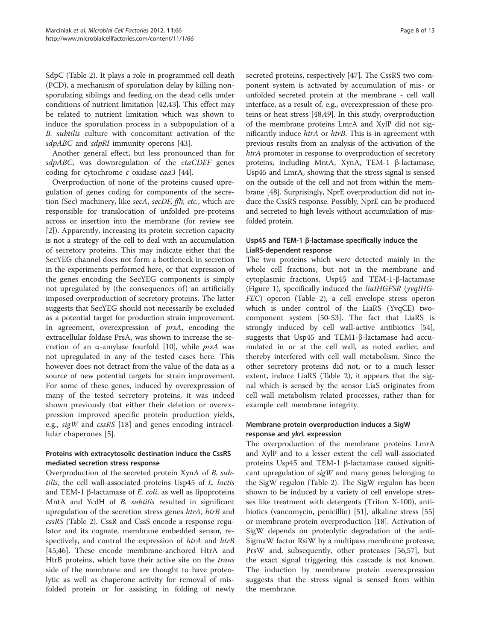SdpC (Table [2](#page-4-0)). It plays a role in programmed cell death (PCD), a mechanism of sporulation delay by killing nonsporulating siblings and feeding on the dead cells under conditions of nutrient limitation [\[42,43](#page-11-0)]. This effect may be related to nutrient limitation which was shown to induce the sporulation process in a subpopulation of a B. subtilis culture with concomitant activation of the sdpABC and sdpRI immunity operons [[43\]](#page-11-0).

Another general effect, but less pronounced than for sdpABC, was downregulation of the ctaCDEF genes coding for cytochrome c oxidase caa3 [\[44](#page-11-0)].

Overproduction of none of the proteins caused upregulation of genes coding for components of the secretion (Sec) machinery, like secA, secDF, ffh, etc., which are responsible for translocation of unfolded pre-proteins across or insertion into the membrane (for review see [[2\]](#page-10-0)). Apparently, increasing its protein secretion capacity is not a strategy of the cell to deal with an accumulation of secretory proteins. This may indicate either that the SecYEG channel does not form a bottleneck in secretion in the experiments performed here, or that expression of the genes encoding the SecYEG components is simply not upregulated by (the consequences of) an artificially imposed overproduction of secretory proteins. The latter suggests that SecYEG should not necessarily be excluded as a potential target for production strain improvement. In agreement, overexpression of prsA, encoding the extracellular foldase PrsA, was shown to increase the se-cretion of an α-amylase fourfold [[10\]](#page-10-0), while  $prsA$  was not upregulated in any of the tested cases here. This however does not detract from the value of the data as a source of new potential targets for strain improvement. For some of these genes, induced by overexpression of many of the tested secretory proteins, it was indeed shown previously that either their deletion or overexpression improved specific protein production yields, e.g., sigW and cssRS [[18\]](#page-11-0) and genes encoding intracellular chaperones [[5\]](#page-10-0).

## Proteins with extracytosolic destination induce the CssRS mediated secretion stress response

Overproduction of the secreted protein XynA of B. subtilis, the cell wall-associated proteins Usp45 of L. lactis and TEM-1 β-lactamase of *E. coli*, as well as lipoproteins MntA and YcdH of B. subtilis resulted in significant upregulation of the secretion stress genes htrA, htrB and cssRS (Table [2\)](#page-4-0). CssR and CssS encode a response regulator and its cognate, membrane embedded sensor, respectively, and control the expression of htrA and htrB [[45,46\]](#page-11-0). These encode membrane-anchored HtrA and HtrB proteins, which have their active site on the *trans* side of the membrane and are thought to have proteolytic as well as chaperone activity for removal of misfolded protein or for assisting in folding of newly

secreted proteins, respectively [[47](#page-11-0)]. The CssRS two component system is activated by accumulation of mis- or unfolded secreted protein at the membrane - cell wall interface, as a result of, e.g., overexpression of these proteins or heat stress [[48,49](#page-11-0)]. In this study, overproduction of the membrane proteins LmrA and XylP did not significantly induce *htrA* or *htrB*. This is in agreement with previous results from an analysis of the activation of the htrA promoter in response to overproduction of secretory proteins, including MntA, XynA, TEM-1 β-lactamase, Usp45 and LmrA, showing that the stress signal is sensed on the outside of the cell and not from within the membrane [[48](#page-11-0)]. Surprisingly, NprE overproduction did not induce the CssRS response. Possibly, NprE can be produced and secreted to high levels without accumulation of misfolded protein.

## Usp45 and TEM-1 β-lactamase specifically induce the LiaRS-dependent response

The two proteins which were detected mainly in the whole cell fractions, but not in the membrane and cytoplasmic fractions, Usp45 and TEM-1-β-lactamase (Figure [1](#page-2-0)), specifically induced the liaIHGFSR (yvqIHG-FEC) operon (Table [2\)](#page-4-0), a cell envelope stress operon which is under control of the LiaRS (YvqCE) twocomponent system [[50-53\]](#page-11-0). The fact that LiaRS is strongly induced by cell wall-active antibiotics [\[54](#page-11-0)], suggests that Usp45 and TEM1-β-lactamase had accumulated in or at the cell wall, as noted earlier, and thereby interfered with cell wall metabolism. Since the other secretory proteins did not, or to a much lesser extent, induce LiaRS (Table [2](#page-4-0)), it appears that the signal which is sensed by the sensor LiaS originates from cell wall metabolism related processes, rather than for example cell membrane integrity.

## Membrane protein overproduction induces a SigW response and ykrL expression

The overproduction of the membrane proteins LmrA and XylP and to a lesser extent the cell wall-associated proteins Usp45 and TEM-1 β-lactamase caused significant upregulation of  $sigW$  and many genes belonging to the SigW regulon (Table [2](#page-4-0)). The SigW regulon has been shown to be induced by a variety of cell envelope stresses like treatment with detergents (Triton X-100), antibiotics (vancomycin, penicillin) [\[51](#page-11-0)], alkaline stress [[55](#page-12-0)] or membrane protein overproduction [[18](#page-11-0)]. Activation of SigW depends on proteolytic degradation of the anti-SigmaW factor RsiW by a multipass membrane protease, PrsW and, subsequently, other proteases [\[56,57\]](#page-12-0), but the exact signal triggering this cascade is not known. The induction by membrane protein overexpression suggests that the stress signal is sensed from within the membrane.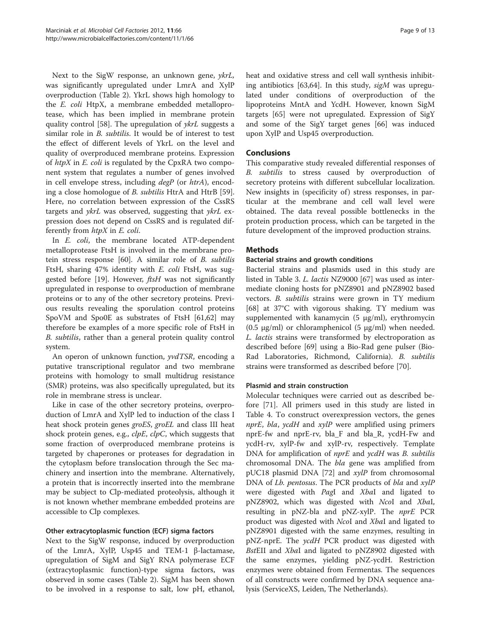Next to the SigW response, an unknown gene,  $\gamma k rL$ , was significantly upregulated under LmrA and XylP overproduction (Table [2\)](#page-4-0). YkrL shows high homology to the E. coli HtpX, a membrane embedded metalloprotease, which has been implied in membrane protein quality control [\[58](#page-12-0)]. The upregulation of  $\gamma k rL$  suggests a similar role in *B. subtilis*. It would be of interest to test the effect of different levels of YkrL on the level and quality of overproduced membrane proteins. Expression of htpX in E. coli is regulated by the CpxRA two component system that regulates a number of genes involved in cell envelope stress, including degP (or htrA), encoding a close homologue of B. subtilis HtrA and HtrB [\[59](#page-12-0)]. Here, no correlation between expression of the CssRS targets and  $\gamma k rL$  was observed, suggesting that  $\gamma k rL$  expression does not depend on CssRS and is regulated differently from htpX in E. coli.

In E. coli, the membrane located ATP-dependent metalloprotease FtsH is involved in the membrane protein stress response [\[60](#page-12-0)]. A similar role of B. subtilis FtsH, sharing 47% identity with E. coli FtsH, was sug-gested before [\[19](#page-11-0)]. However,  $f \notin H$  was not significantly upregulated in response to overproduction of membrane proteins or to any of the other secretory proteins. Previous results revealing the sporulation control proteins SpoVM and Spo0E as substrates of FtsH [[61](#page-12-0),[62](#page-12-0)] may therefore be examples of a more specific role of FtsH in B. subtilis, rather than a general protein quality control system.

An operon of unknown function, yvdTSR, encoding a putative transcriptional regulator and two membrane proteins with homology to small multidrug resistance (SMR) proteins, was also specifically upregulated, but its role in membrane stress is unclear.

Like in case of the other secretory proteins, overproduction of LmrA and XylP led to induction of the class I heat shock protein genes groES, groEL and class III heat shock protein genes, e.g., clpE, clpC, which suggests that some fraction of overproduced membrane proteins is targeted by chaperones or proteases for degradation in the cytoplasm before translocation through the Sec machinery and insertion into the membrane. Alternatively, a protein that is incorrectly inserted into the membrane may be subject to Clp-mediated proteolysis, although it is not known whether membrane embedded proteins are accessible to Clp complexes.

## Other extracytoplasmic function (ECF) sigma factors

Next to the SigW response, induced by overproduction of the LmrA, XylP, Usp45 and TEM-1 β-lactamase, upregulation of SigM and SigY RNA polymerase ECF (extracytoplasmic function)-type sigma factors, was observed in some cases (Table [2\)](#page-4-0). SigM has been shown to be involved in a response to salt, low pH, ethanol, heat and oxidative stress and cell wall synthesis inhibiting antibiotics [\[63,64](#page-12-0)]. In this study, sigM was upregulated under conditions of overproduction of the lipoproteins MntA and YcdH. However, known SigM targets [\[65](#page-12-0)] were not upregulated. Expression of SigY and some of the SigY target genes [\[66\]](#page-12-0) was induced upon XylP and Usp45 overproduction.

## Conclusions

This comparative study revealed differential responses of B. subtilis to stress caused by overproduction of secretory proteins with different subcellular localization. New insights in (specificity of) stress responses, in particular at the membrane and cell wall level were obtained. The data reveal possible bottlenecks in the protein production process, which can be targeted in the future development of the improved production strains.

## **Methods**

## Bacterial strains and growth conditions

Bacterial strains and plasmids used in this study are listed in Table [3](#page-9-0). L. lactis NZ9000 [\[67](#page-12-0)] was used as intermediate cloning hosts for pNZ8901 and pNZ8902 based vectors. B. subtilis strains were grown in TY medium [[68\]](#page-12-0) at 37°C with vigorous shaking. TY medium was supplemented with kanamycin (5 μg/ml), erythromycin (0.5 μg/ml) or chloramphenicol (5 μg/ml) when needed. L. lactis strains were transformed by electroporation as described before [[69\]](#page-12-0) using a Bio-Rad gene pulser (Bio-Rad Laboratories, Richmond, California). B. subtilis strains were transformed as described before [\[70](#page-12-0)].

## Plasmid and strain construction

Molecular techniques were carried out as described before [[71\]](#page-12-0). All primers used in this study are listed in Table [4.](#page-9-0) To construct overexpression vectors, the genes nprE, bla, ycdH and xylP were amplified using primers nprE-fw and nprE-rv, bla\_F and bla\_R, ycdH-Fw and ycdH-rv, xylP-fw and xylP-rv, respectively. Template DNA for amplification of *nprE* and *ycdH* was *B*. *subtilis* chromosomal DNA. The *bla* gene was amplified from pUC18 plasmid DNA [[72\]](#page-12-0) and  $xylP$  from chromosomal DNA of *Lb. pentosus*. The PCR products of *bla* and *xylP* were digested with PagI and XbaI and ligated to pNZ8902, which was digested with NcoI and XbaI, resulting in pNZ-bla and pNZ-xylP. The nprE PCR product was digested with NcoI and XbaI and ligated to pNZ8901 digested with the same enzymes, resulting in pNZ-nprE. The ycdH PCR product was digested with BstEII and XbaI and ligated to pNZ8902 digested with the same enzymes, yielding pNZ-ycdH. Restriction enzymes were obtained from Fermentas. The sequences of all constructs were confirmed by DNA sequence analysis (ServiceXS, Leiden, The Netherlands).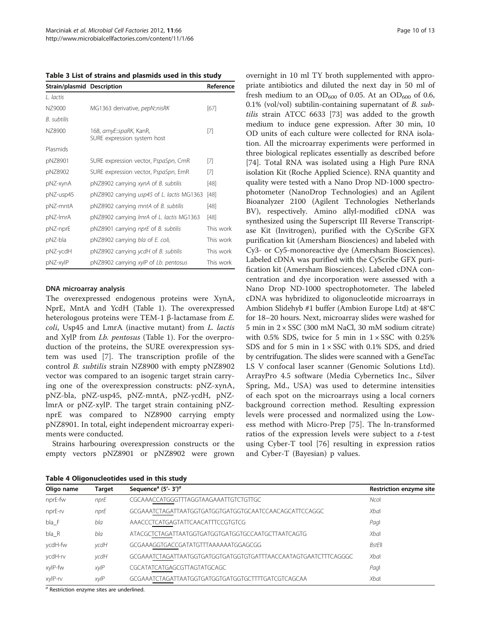<span id="page-9-0"></span>

| Table 3 List of strains and plasmids used in this study |  |  |
|---------------------------------------------------------|--|--|
|---------------------------------------------------------|--|--|

| Strain/plasmid Description |                                                        | Reference |
|----------------------------|--------------------------------------------------------|-----------|
| L. lactis                  |                                                        |           |
| NZ9000                     | MG1363 derivative, pepN::nisRK                         | [67]      |
| B. subtilis                |                                                        |           |
| N78900                     | 168, amyE::spaRK, KanR,<br>SURE expression system host |           |
| Plasmids                   |                                                        |           |
| pNZ8901                    | SURE expression vector, PspaSpn, CmR                   |           |
| pNZ8902                    | SURE expression vector, PspaSpn, EmR                   |           |
| pNZ-xynA                   | pNZ8902 carrying xynA of B. subtilis                   | [48]      |
| pNZ-usp45                  | pNZ8902 carrying usp45 of L. lactis MG1363             | [48]      |
| pNZ-mntA                   | pNZ8902 carrying mntA of B. subtilis                   | $[48]$    |
| pNZ-ImrA                   | pNZ8902 carrying ImrA of L. lactis MG1363              | $[48]$    |
| pNZ-nprE                   | pNZ8901 carrying nprE of B. subtilis                   | This work |
| pNZ-bla                    | pNZ8902 carrying bla of E. coli,                       | This work |
| pNZ-ycdH                   | pNZ8902 carrying ycdH of B. subtilis                   | This work |
| pNZ-xylP                   | pNZ8902 carrying xylP of Lb. pentosus                  | This work |

#### DNA microarray analysis

The overexpressed endogenous proteins were XynA, NprE, MntA and YcdH (Table [1\)](#page-1-0). The overexpressed heterologous proteins were TEM-1 β-lactamase from E. coli, Usp45 and LmrA (inactive mutant) from L. lactis and XylP from Lb. pentosus (Table [1](#page-1-0)). For the overproduction of the proteins, the SURE overexpression system was used [[7\]](#page-10-0). The transcription profile of the control B. subtilis strain NZ8900 with empty pNZ8902 vector was compared to an isogenic target strain carrying one of the overexpression constructs: pNZ-xynA, pNZ-bla, pNZ-usp45, pNZ-mntA, pNZ-ycdH, pNZlmrA or pNZ-xylP. The target strain containing pNZnprE was compared to NZ8900 carrying empty pNZ8901. In total, eight independent microarray experiments were conducted.

Strains harbouring overexpression constructs or the empty vectors pNZ8901 or pNZ8902 were grown overnight in 10 ml TY broth supplemented with appropriate antibiotics and diluted the next day in 50 ml of fresh medium to an  $OD_{600}$  of 0.05. At an  $OD_{600}$  of 0.6, 0.1% (vol/vol) subtilin-containing supernatant of B. subtilis strain ATCC 6633 [\[73](#page-12-0)] was added to the growth medium to induce gene expression. After 30 min, 10 OD units of each culture were collected for RNA isolation. All the microarray experiments were performed in three biological replicates essentially as described before [[74\]](#page-12-0). Total RNA was isolated using a High Pure RNA isolation Kit (Roche Applied Science). RNA quantity and quality were tested with a Nano Drop ND-1000 spectrophotometer (NanoDrop Technologies) and an Agilent Bioanalyzer 2100 (Agilent Technologies Netherlands BV), respectively. Amino allyl-modified cDNA was synthesized using the Superscript III Reverse Transcriptase Kit (Invitrogen), purified with the CyScribe GFX purification kit (Amersham Biosciences) and labeled with Cy3- or Cy5-monoreactive dye (Amersham Biosciences). Labeled cDNA was purified with the CyScribe GFX purification kit (Amersham Biosciences). Labeled cDNA concentration and dye incorporation were assessed with a Nano Drop ND-1000 spectrophotometer. The labeled cDNA was hybridized to oligonucleotide microarrays in Ambion Slidehyb #1 buffer (Ambion Europe Ltd) at 48°C for 18–20 hours. Next, microarray slides were washed for 5 min in 2 × SSC (300 mM NaCl, 30 mM sodium citrate) with 0.5% SDS, twice for 5 min in  $1 \times SSC$  with 0.25% SDS and for 5 min in  $1 \times$  SSC with 0.1% SDS, and dried by centrifugation. The slides were scanned with a GeneTac LS V confocal laser scanner (Genomic Solutions Ltd). ArrayPro 4.5 software (Media Cybernetics Inc., Silver Spring, Md., USA) was used to determine intensities of each spot on the microarrays using a local corners background correction method. Resulting expression levels were processed and normalized using the Lowess method with Micro-Prep [\[75](#page-12-0)]. The ln-transformed ratios of the expression levels were subject to a t-test using Cyber-T tool [[76\]](#page-12-0) resulting in expression ratios and Cyber-T (Bayesian) p values.

| Oligo name | <b>Target</b> | Sequence <sup>a</sup> (5'-3') <sup>a</sup>                      | <b>Restriction enzyme site</b> |
|------------|---------------|-----------------------------------------------------------------|--------------------------------|
| nprE-fw    | nprE          | CGCAAACCATGGGTTTAGGTAAGAAATTGTCTGTTGC                           | Ncol                           |
| nprE-rv    | nprE          | GCGAAATCTAGATTAATGGTGATGGTGATGGTGCAATCCAACAGCATTCCAGGC          | Xbal                           |
| bla F      | bla           | AAACCCTCATGAGTATTCAACATTTCCGTGTCG                               | Pagl                           |
| bla R      | bla           | ATACGCTCTAGATTAATGGTGATGGTGATGGTGCCAATGCTTAATCAGTG              | Xbal                           |
| ycdH-fw    | ycdH          | GCGAAAGGTGACCGATATGTTTAAAAAATGGAGCGG                            | BstEll                         |
| ycdH-rv    | ycdH          | GCGAAATCTAGATTAATGGTGATGGTGATGGTGTGATTTAACCAATAGTGAATCTTTCAGGGC | Xbal                           |
| xylP-fw    | xyIP          | CGCATATCATGAGCGTTAGTATGCAGC                                     | Pagl                           |
| xylP-rv    | xyIP          | GCGAAATCTAGATTAATGGTGATGGTGATGGTGCTTTTGATCGTCAGCAA              | Xbal                           |

Table 4 Oligonucleotides used in this study

<sup>a</sup> Restriction enzyme sites are underlined.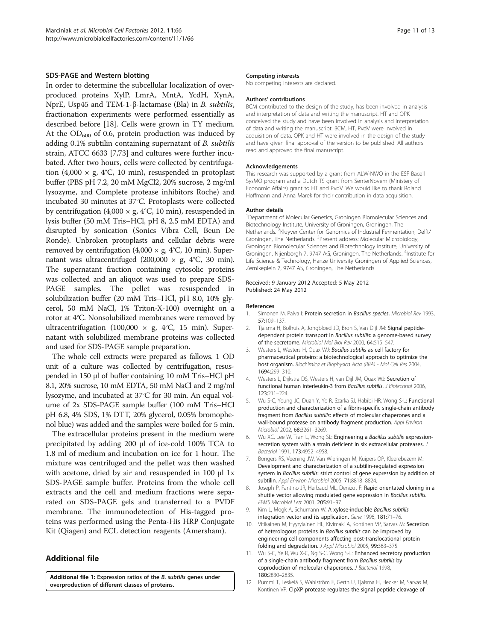#### <span id="page-10-0"></span>SDS-PAGE and Western blotting

In order to determine the subcellular localization of overproduced proteins XylP, LmrA, MntA, YcdH, XynA, NprE, Usp45 and TEM-1-β-lactamase (Bla) in B. subtilis, fractionation experiments were performed essentially as described before [\[18](#page-11-0)]. Cells were grown in TY medium. At the  $OD_{600}$  of 0.6, protein production was induced by adding 0.1% subtilin containing supernatant of B. subtilis strain, ATCC 6633 [7[,73](#page-12-0)] and cultures were further incubated. After two hours, cells were collected by centrifugation (4,000  $\times$  g, 4°C, 10 min), resuspended in protoplast buffer (PBS pH 7.2, 20 mM MgCl2, 20% sucrose, 2 mg/ml lysozyme, and Complete protease inhibitors Roche) and incubated 30 minutes at 37°C. Protoplasts were collected by centrifugation  $(4,000 \times g, 4^{\circ}C, 10 \text{ min})$ , resuspended in lysis buffer (50 mM Tris–HCl, pH 8, 2.5 mM EDTA) and disrupted by sonication (Sonics Vibra Cell, Beun De Ronde). Unbroken protoplasts and cellular debris were removed by centrifugation  $(4,000 \times g, 4^{\circ}C, 10 \text{ min})$ . Supernatant was ultracentrifuged (200,000  $\times$  g, 4°C, 30 min). The supernatant fraction containing cytosolic proteins was collected and an aliquot was used to prepare SDS-PAGE samples. The pellet was resuspended in solubilization buffer (20 mM Tris–HCl, pH 8.0, 10% glycerol, 50 mM NaCl, 1% Triton-X-100) overnight on a rotor at 4°C. Nonsolubilized membranes were removed by ultracentrifugation (100,000  $\times$  g, 4°C, 15 min). Supernatant with solubilized membrane proteins was collected and used for SDS-PAGE sample preparation.

The whole cell extracts were prepared as fallows. 1 OD unit of a culture was collected by centrifugation, resuspended in 150 μl of buffer containing 10 mM Tris–HCl pH 8.1, 20% sucrose, 10 mM EDTA, 50 mM NaCl and 2 mg/ml lysozyme, and incubated at 37°C for 30 min. An equal volume of 2x SDS-PAGE sample buffer (100 mM Tris–HCl pH 6.8, 4% SDS, 1% DTT, 20% glycerol, 0.05% bromophenol blue) was added and the samples were boiled for 5 min.

The extracellular proteins present in the medium were precipitated by adding 200 μl of ice-cold 100% TCA to 1.8 ml of medium and incubation on ice for 1 hour. The mixture was centrifuged and the pellet was then washed with acetone, dried by air and resuspended in 100 μl 1x SDS-PAGE sample buffer. Proteins from the whole cell extracts and the cell and medium fractions were separated on SDS-PAGE gels and transferred to a PVDF membrane. The immunodetection of His-tagged proteins was performed using the Penta-His HRP Conjugate Kit (Qiagen) and ECL detection reagents (Amersham).

#### Additional file

[Additional file 1:](http://www.biomedcentral.com/content/supplementary/1475-2859-11-66-S1.xml) Expression ratios of the B. subtilis genes under overproduction of different classes of proteins.

#### Competing interests

No competing interests are declared.

#### Authors' contributions

BCM contributed to the design of the study, has been involved in analysis and interpretation of data and writing the manuscript. HT and OPK conceived the study and have been involved in analysis and interpretation of data and writing the manuscript. BCM, HT, PvdV were involved in acquisition of data. OPK and HT were involved in the design of the study and have given final approval of the version to be published. All authors read and approved the final manuscript.

#### Acknowledgements

This research was supported by a grant from ALW-NWO in the ESF Bacell SysMO program and a Dutch TS grant from SenterNovem (Ministery of Economic Affairs) grant to HT and PvdV. We would like to thank Roland Hoffmann and Anna Marek for their contribution in data acquisition.

#### Author details

<sup>1</sup>Department of Molecular Genetics, Groningen Biomolecular Sciences and Biotechnology Institute, University of Groningen, Groningen, The Netherlands.<sup>2</sup>Kluyver Center for Genomics of Industrial Fermentation, Delft/ Groningen, The Netherlands. <sup>3</sup>Present address: Molecular Microbiology, Groningen Biomolecular Sciences and Biotechnology Institute, University of Groningen, Nijenborgh 7, 9747 AG, Groningen, The Netherlands. <sup>4</sup>Institute for Life Science & Technology, Hanze University Groningen of Applied Sciences, Zernikeplein 7, 9747 AS, Groningen, The Netherlands.

#### Received: 9 January 2012 Accepted: 5 May 2012 Published: 24 May 2012

#### References

- Simonen M, Palva I: Protein secretion in Bacillus species. Microbiol Rev 1993, 57:109–137.
- 2. Tjalsma H, Bolhuis A, Jongbloed JD, Bron S, Van Dijl JM: Signal peptidedependent protein transport in Bacillus subtilis: a genome-based survey of the secretome. Microbiol Mol Biol Rev 2000, 64:515–547.
- 3. Westers L, Westers H, Quax WJ: Bacillus subtilis as cell factory for pharmaceutical proteins: a biotechnological approach to optimize the host organism. Biochimica et Biophysica Acta (BBA) - Mol Cell Res 2004, 1694:299–310.
- 4. Westers L, Dijkstra DS, Westers H, van Dijl JM, Quax WJ: Secretion of functional human interleukin-3 from Bacillus subtilis. J Biotechnol 2006, 123:211–224.
- 5. Wu S-C, Yeung JC, Duan Y, Ye R, Szarka SJ, Habibi HR, Wong S-L: Functional production and characterization of a fibrin-specific single-chain antibody fragment from Bacillus subtilis: effects of molecular chaperones and a wall-bound protease on antibody fragment production. Appl Environ Microbiol 2002, 68:3261–3269.
- 6. Wu XC, Lee W, Tran L, Wong SL: Engineering a Bacillus subtilis expressionsecretion system with a strain deficient in six extracellular proteases. J Bacteriol 1991, 173:4952–4958.
- 7. Bongers RS, Veening JW, Van Wieringen M, Kuipers OP, Kleerebezem M: Development and characterization of a subtilin-regulated expression system in Bacillus subtilis: strict control of gene expression by addition of subtilin. Appl Environ Microbiol 2005, 71:8818–8824.
- 8. Joseph P, Fantino JR, Herbaud ML, Denizot F: Rapid orientated cloning in a shuttle vector allowing modulated gene expression in Bacillus subtilis. FEMS Microbiol Lett 2001, 205:91–97.
- 9. Kim L, Mogk A, Schumann W: A xylose-inducible Bacillus subtilis integration vector and its application. Gene 1996, 181:71–76.
- 10. Vitikainen M, Hyyrylainen HL, Kivimaki A, Kontinen VP, Sarvas M: Secretion of heterologous proteins in Bacillus subtilis can be improved by engineering cell components affecting post-translocational protein folding and degradation. J Appl Microbiol 2005, 99:363–375.
- 11. Wu S-C, Ye R, Wu X-C, Ng S-C, Wong S-L: Enhanced secretory production of a single-chain antibody fragment from Bacillus subtilis by coproduction of molecular chaperones. J Bacteriol 1998, 180:2830–2835.
- 12. Pummi T, Leskelä S, Wahlström E, Gerth U, Tjalsma H, Hecker M, Sarvas M, Kontinen VP: ClpXP protease regulates the signal peptide cleavage of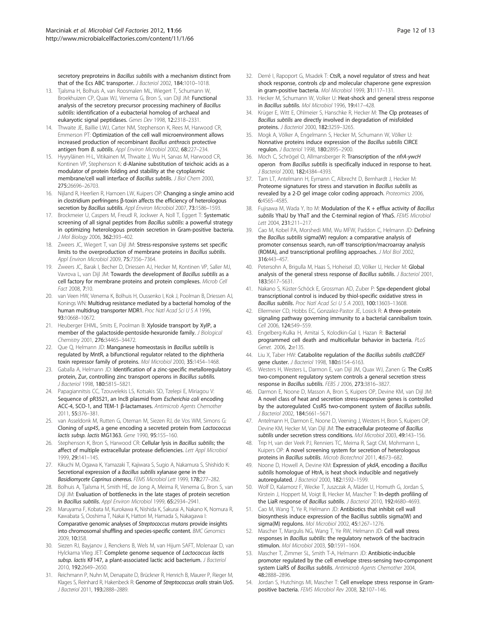<span id="page-11-0"></span>secretory preproteins in Bacillus subtilis with a mechanism distinct from that of the Ecs ABC transporter. J Bacteriol 2002, 184:1010–1018.

- 13. Tjalsma H, Bolhuis A, van Roosmalen ML, Wiegert T, Schumann W, Broekhuizen CP, Quax WJ, Venema G, Bron S, van Dijl JM: Functional analysis of the secretory precursor processing machinery of Bacillus subtilis: identification of a eubacterial homolog of archaeal and eukaryotic signal peptidases. Genes Dev 1998, 12:2318–2331.
- 14. Thwaite JE, Baillie LWJ, Carter NM, Stephenson K, Rees M, Harwood CR, Emmerson PT: Optimization of the cell wall microenvironment allows increased production of recombinant Bacillus anthracis protective antigen from B. subtilis. Appl Environ Microbiol 2002, 68:227–234.
- 15. Hyyryläinen H-L, Vitikainen M, Thwaite J, Wu H, Sarvas M, Harwood CR, Kontinen VP, Stephenson K: d-Alanine substitution of teichoic acids as a modulator of protein folding and stability at the cytoplasmic membrane/cell wall interface of Bacillus subtilis. J Biol Chem 2000, 275:26696–26703.
- 16. Nijland R, Heerlien R, Hamoen LW, Kuipers OP: Changing a single amino acid in clostridium perfringens β-toxin affects the efficiency of heterologous secretion by Bacillus subtilis. Appl Environ Microbiol 2007, 73:1586-1593.
- 17. Brockmeier U, Caspers M, Freudl R, Jockwer A, Noll T, Eggert T: Systematic screening of all signal peptides from Bacillus subtilis: a powerful strategy in optimizing heterologous protein secretion in Gram-positive bacteria. J Mol Biology 2006, 362:393–402.
- 18. Zweers JC, Wiegert T, van Dijl JM: Stress-responsive systems set specific limits to the overproduction of membrane proteins in Bacillus subtilis. Appl Environ Microbiol 2009, 75:7356-7364.
- 19. Zweers JC, Barak I, Becher D, Driessen AJ, Hecker M, Kontinen VP, Saller MJ, Vavrova L, van Dijl JM: Towards the development of Bacillus subtilis as a cell factory for membrane proteins and protein complexes. Microb Cell Fact 2008, 7:10.
- 20. van Veen HW, Venema K, Bolhuis H, Oussenko I, Kok J, Poolman B, Driessen AJ, Konings WN: Multidrug resistance mediated by a bacterial homolog of the human multidrug transporter MDR1. Proc Natl Acad Sci U S A 1996, 93:10668–10672.
- 21. Heuberger EHML, Smits E, Poolman B: Xyloside transport by XylP, a member of the galactoside-pentoside-hexuronide family. J Biological Chemistry 2001, 276:34465–34472.
- 22. Que Q, Helmann JD: Manganese homeostasis in Bacillus subtilis is regulated by MntR, a bifunctional regulator related to the diphtheria toxin repressor family of proteins. Mol Microbiol 2000, 35:1454–1468.
- 23. Gaballa A, Helmann JD: Identification of a zinc-specific metalloregulatory protein, Zur, controlling zinc transport operons in Bacillus subtilis. J Bacteriol 1998, 180:5815–5821.
- 24. Papagiannitsis CC, Tzouvelekis LS, Kotsakis SD, Tzelepi E, Miriagou V: Sequence of pR3521, an IncB plasmid from Escherichia coli encoding ACC-4, SCO-1, and TEM-1 β-lactamases. Antimicrob Agents Chemother 2011, 55:376–381.
- 25. van Asseldonk M, Rutten G, Oteman M, Siezen RJ, de Vos WM, Simons G: Cloning of usp45, a gene encoding a secreted protein from Lactococcus lactis subsp. lactis MG1363. Gene 1990, 95:155–160.
- 26. Stephenson K, Bron S, Harwood CR: Cellular lysis in Bacillus subtilis; the affect of multiple extracellular protease deficiencies. Lett Appl Microbiol 1999, 29:141–145.
- 27. Kikuchi M, Ogawa K, Yamazaki T, Kajiwara S, Sugio A, Nakamura S, Shishido K: Secretional expression of a Bacillus subtilis xylanase gene in the Basidiomycete Coprinus cinereus. FEMS Microbiol Lett 1999, 178:277–282.
- 28. Bolhuis A, Tjalsma H, Smith HE, de Jong A, Meima R, Venema G, Bron S, van Dijl JM: Evaluation of bottlenecks in the late stages of protein secretion in Bacillus subtilis. Appl Environ Microbiol 1999, 65:2934–2941.
- 29. Maruyama F, Kobata M, Kurokawa K, Nishida K, Sakurai A, Nakano K, Nomura R, Kawabata S, Ooshima T, Nakai K, Hattori M, Hamada S, Nakagawa I: Comparative genomic analyses of Streptococcus mutans provide insights into chromosomal shuffling and species-specific content. BMC Genomics 2009, 10:358.
- 30. Siezen RJ, Bayjanov J, Renckens B, Wels M, van Hijum SAFT, Molenaar D, van Hylckama Vlieg JET: Complete genome sequence of Lactococcus lactis subsp. lactis KF147, a plant-associated lactic acid bacterium. J Bacteriol 2010, 192:2649–2650.
- 31. Reichmann P, Nuhn M, Denapaite D, Brückner R, Henrich B, Maurer P, Rieger M, Klages S, Reinhard R, Hakenbeck R: Genome of Streptococcus oralis strain Uo5. J Bacteriol 2011, 193:2888–2889.
- 32. Derré I, Rapoport G, Msadek T: CtsR, a novel regulator of stress and heat shock response, controls *clp* and molecular chaperone gene expression in gram-positive bacteria. Mol Microbiol 1999, 31:117–131.
- 33. Hecker M, Schumann W, Volker U: Heat-shock and general stress response in Bacillus subtilis. Mol Microbiol 1996, 19:417–428.
- 34. Krüger E, Witt E, Ohlmeier S, Hanschke R, Hecker M: The Clp proteases of Bacillus subtilis are directly involved in degradation of misfolded proteins. J Bacteriol 2000, 182:3259–3265.
- 35. Mogk A, Völker A, Engelmann S, Hecker M, Schumann W, Völker U: Nonnative proteins induce expression of the Bacillus subtilis CIRCE regulon. J Bacteriol 1998, 180:2895–2900.
- 36. Moch C, Schrögel O, Allmansberger R: Transcription of the nfrA-ywcH operon from Bacillus subtilis is specifically induced in response to heat. J Bacteriol 2000, 182:4384–4393.
- 37. Tam LT, Antelmann H, Eymann C, Albrecht D, Bernhardt J, Hecker M: Proteome signatures for stress and starvation in Bacillus subtilis as revealed by a 2-D gel image color coding approach. Proteomics 2006, 6:4565–4585.
- 38. Fujisawa M, Wada Y, Ito M: Modulation of the K + efflux activity of Bacillus subtilis YhaU by YhaT and the C-terminal region of YhaS. FEMS Microbiol Lett 2004, 231:211–217.
- 39. Cao M, Kobel PA, Morshedi MM, Wu MFW, Paddon C, Helmann JD: Defining the Bacillus subtilis sigma(W) regulon: a comparative analysis of promoter consensus search, run-off transcription/macroarray analysis (ROMA), and transcriptional profiling approaches. J Mol Biol 2002, 316:443–457.
- 40. Petersohn A, Brigulla M, Haas S, Hoheisel JD, Völker U, Hecker M: Global analysis of the general stress response of Bacillus subtilis. J Bacteriol 2001, 183:5617–5631.
- 41. Nakano S, Küster-Schöck E, Grossman AD, Zuber P: Spx-dependent global transcriptional control is induced by thiol-specific oxidative stress in Bacillus subtilis. Proc Natl Acad Sci U S A 2003, 100:13603-13608.
- 42. Ellermeier CD, Hobbs EC, Gonzalez-Pastor JE, Losick R: A three-protein signaling pathway governing immunity to a bacterial cannibalism toxin. Cell 2006, 124:549–559.
- 43. Engelberg-Kulka H, Amitai S, Kolodkin-Gal I, Hazan R: Bacterial programmed cell death and multicellular behavior in bacteria. PLoS Genet. 2006, 2:e135.
- 44. Liu X, Taber HW: Catabolite regulation of the Bacillus subtilis ctaBCDEF gene cluster. J Bacteriol 1998, 180:6154-6163.
- 45. Westers H, Westers L, Darmon E, van Dijl JM, Quax WJ, Zanen G: The CssRS two-component regulatory system controls a general secretion stress response in Bacillus subtilis. FEBS J 2006, 273:3816–3827.
- 46. Darmon E, Noone D, Masson A, Bron S, Kuipers OP, Devine KM, van Dijl JM: A novel class of heat and secretion stress-responsive genes is controlled by the autoregulated CssRS two-component system of Bacillus subtilis. J Bacteriol 2002, 184:5661–5671.
- 47. Antelmann H, Darmon E, Noone D, Veening J, Westers H, Bron S, Kuipers OP, Devine KM, Hecker M, Van Dijl JM: The extracellular proteome of Bacillus subtilis under secretion stress conditions. Mol Microbiol 2003, 49:143–156.
- 48. Trip H, van der Veek PJ, Renniers TC, Meima R, Sagt CM, Mohrmann L, Kuipers OP: A novel screening system for secretion of heterologous proteins in Bacillus subtilis. Microb Biotechnol 2011, 4:673-682.
- 49. Noone D, Howell A, Devine KM: Expression of ykdA, encoding a Bacillus subtilis homologue of HtrA, is heat shock inducible and negatively autoregulated. J Bacteriol 2000, 182:1592–1599.
- 50. Wolf D, Kalamorz F, Wecke T, Juszczak A, Mäder U, Homuth G, Jordan S, Kirstein J, Hoppert M, Voigt B, Hecker M, Mascher T; In-depth profiling of the LiaR response of Bacillus subtilis. J Bacteriol 2010, 192:4680-4693.
- 51. Cao M, Wang T, Ye R, Helmann JD: Antibiotics that inhibit cell wall biosynthesis induce expression of the Bacillus subtilis sigma(W) and sigma(M) regulons. Mol Microbiol 2002, 45:1267–1276.
- 52. Mascher T, Margulis NG, Wang T, Ye RW, Helmann JD: Cell wall stress responses in Bacillus subtilis: the regulatory network of the bacitracin stimulon. Mol Microbiol 2003, 50:1591–1604.
- 53. Mascher T, Zimmer SL, Smith T-A, Helmann JD: Antibiotic-inducible promoter regulated by the cell envelope stress-sensing two-component system LiaRS of Bacillus subtilis. Antimicrob Agents Chemother 2004, 48:2888–2896.
- 54. Jordan S, Hutchings MI, Mascher T: Cell envelope stress response in Grampositive bacteria. FEMS Microbiol Rev 2008, 32:107–146.